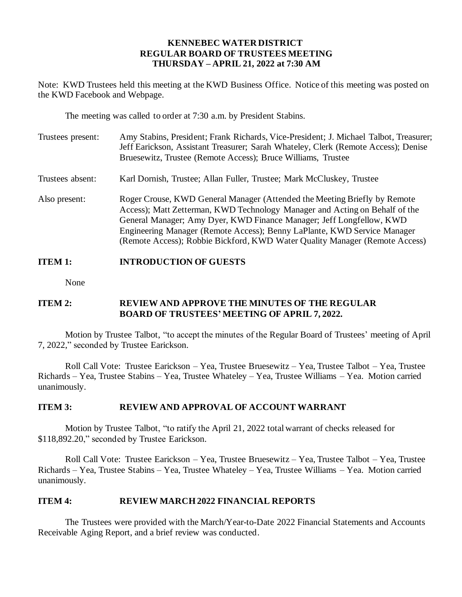### **KENNEBEC WATER DISTRICT REGULAR BOARD OF TRUSTEES MEETING THURSDAY – APRIL 21, 2022 at 7:30 AM**

Note: KWD Trustees held this meeting at the KWD Business Office. Notice of this meeting was posted on the KWD Facebook and Webpage.

The meeting was called to order at 7:30 a.m. by President Stabins.

| Trustees present: | Amy Stabins, President; Frank Richards, Vice-President; J. Michael Talbot, Treasurer;<br>Jeff Earickson, Assistant Treasurer; Sarah Whateley, Clerk (Remote Access); Denise<br>Bruesewitz, Trustee (Remote Access); Bruce Williams, Trustee                                                                                                                                                 |
|-------------------|---------------------------------------------------------------------------------------------------------------------------------------------------------------------------------------------------------------------------------------------------------------------------------------------------------------------------------------------------------------------------------------------|
| Trustees absent:  | Karl Dornish, Trustee; Allan Fuller, Trustee; Mark McCluskey, Trustee                                                                                                                                                                                                                                                                                                                       |
| Also present:     | Roger Crouse, KWD General Manager (Attended the Meeting Briefly by Remote<br>Access); Matt Zetterman, KWD Technology Manager and Acting on Behalf of the<br>General Manager; Amy Dyer, KWD Finance Manager; Jeff Longfellow, KWD<br>Engineering Manager (Remote Access); Benny LaPlante, KWD Service Manager<br>(Remote Access); Robbie Bickford, KWD Water Quality Manager (Remote Access) |

# **ITEM 1: INTRODUCTION OF GUESTS**

None

# **ITEM 2: REVIEW AND APPROVE THE MINUTES OF THE REGULAR BOARD OF TRUSTEES' MEETING OF APRIL 7, 2022.**

Motion by Trustee Talbot, "to accept the minutes of the Regular Board of Trustees' meeting of April 7, 2022," seconded by Trustee Earickson.

Roll Call Vote: Trustee Earickson – Yea, Trustee Bruesewitz – Yea, Trustee Talbot – Yea, Trustee Richards – Yea, Trustee Stabins – Yea, Trustee Whateley – Yea, Trustee Williams – Yea. Motion carried unanimously.

# **ITEM 3: REVIEW AND APPROVAL OF ACCOUNT WARRANT**

Motion by Trustee Talbot, "to ratify the April 21, 2022 total warrant of checks released for \$118,892.20," seconded by Trustee Earickson.

Roll Call Vote: Trustee Earickson – Yea, Trustee Bruesewitz – Yea, Trustee Talbot – Yea, Trustee Richards – Yea, Trustee Stabins – Yea, Trustee Whateley – Yea, Trustee Williams – Yea. Motion carried unanimously.

### **ITEM 4: REVIEW MARCH 2022 FINANCIAL REPORTS**

The Trustees were provided with the March/Year-to-Date 2022 Financial Statements and Accounts Receivable Aging Report, and a brief review was conducted.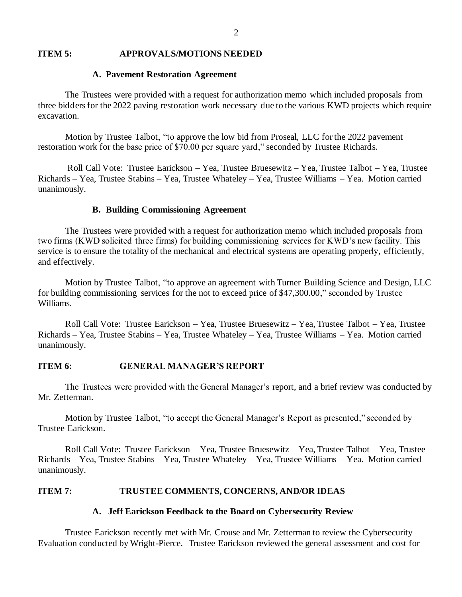#### **ITEM 5: APPROVALS/MOTIONS NEEDED**

### **A. Pavement Restoration Agreement**

The Trustees were provided with a request for authorization memo which included proposals from three bidders for the 2022 paving restoration work necessary due to the various KWD projects which require excavation.

Motion by Trustee Talbot, "to approve the low bid from Proseal, LLC for the 2022 pavement restoration work for the base price of \$70.00 per square yard," seconded by Trustee Richards.

Roll Call Vote: Trustee Earickson – Yea, Trustee Bruesewitz – Yea, Trustee Talbot – Yea, Trustee Richards – Yea, Trustee Stabins – Yea, Trustee Whateley – Yea, Trustee Williams – Yea. Motion carried unanimously.

#### **B. Building Commissioning Agreement**

The Trustees were provided with a request for authorization memo which included proposals from two firms (KWD solicited three firms) for building commissioning services for KWD's new facility. This service is to ensure the totality of the mechanical and electrical systems are operating properly, efficiently, and effectively.

Motion by Trustee Talbot, "to approve an agreement with Turner Building Science and Design, LLC for building commissioning services for the not to exceed price of \$47,300.00," seconded by Trustee Williams.

Roll Call Vote: Trustee Earickson – Yea, Trustee Bruesewitz – Yea, Trustee Talbot – Yea, Trustee Richards – Yea, Trustee Stabins – Yea, Trustee Whateley – Yea, Trustee Williams – Yea. Motion carried unanimously.

### **ITEM 6: GENERAL MANAGER'S REPORT**

The Trustees were provided with the General Manager's report, and a brief review was conducted by Mr. Zetterman.

Motion by Trustee Talbot, "to accept the General Manager's Report as presented," seconded by Trustee Earickson.

Roll Call Vote: Trustee Earickson – Yea, Trustee Bruesewitz – Yea, Trustee Talbot – Yea, Trustee Richards – Yea, Trustee Stabins – Yea, Trustee Whateley – Yea, Trustee Williams – Yea. Motion carried unanimously.

### **ITEM 7: TRUSTEE COMMENTS, CONCERNS, AND/OR IDEAS**

#### **A. Jeff Earickson Feedback to the Board on Cybersecurity Review**

Trustee Earickson recently met with Mr. Crouse and Mr. Zetterman to review the Cybersecurity Evaluation conducted by Wright-Pierce. Trustee Earickson reviewed the general assessment and cost for